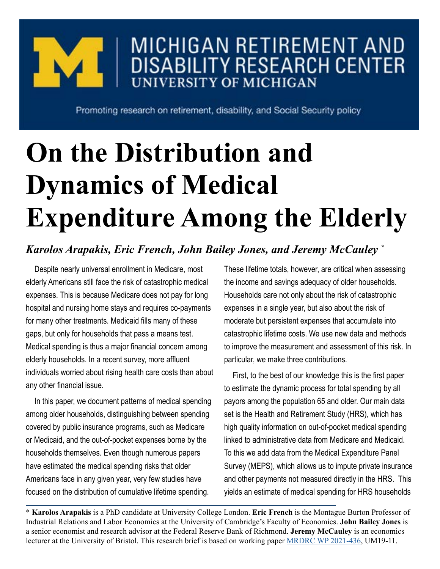

## MICHIGAN RETIREMENT AND **DISABILITY RESEARCH CENTER UNIVERSITY OF MICHIGAN**

Promoting research on retirement, disability, and Social Security policy

## **On the Distribution and Dynamics of Medical Expenditure Among the Elderly**

## *Karolos Arapakis, Eric French, John Bailey Jones, and Jeremy McCauley \**

Despite nearly universal enrollment in Medicare, most elderly Americans still face the risk of catastrophic medical expenses. This is because Medicare does not pay for long hospital and nursing home stays and requires co-payments for many other treatments. Medicaid fills many of these gaps, but only for households that pass a means test. Medical spending is thus a major financial concern among elderly households. In a recent survey, more affluent individuals worried about rising health care costs than about any other financial issue.

In this paper, we document patterns of medical spending among older households, distinguishing between spending covered by public insurance programs, such as Medicare or Medicaid, and the out-of-pocket expenses borne by the households themselves. Even though numerous papers have estimated the medical spending risks that older Americans face in any given year, very few studies have focused on the distribution of cumulative lifetime spending.

These lifetime totals, however, are critical when assessing the income and savings adequacy of older households. Households care not only about the risk of catastrophic expenses in a single year, but also about the risk of moderate but persistent expenses that accumulate into catastrophic lifetime costs. We use new data and methods to improve the measurement and assessment of this risk. In particular, we make three contributions.

First, to the best of our knowledge this is the first paper to estimate the dynamic process for total spending by all payors among the population 65 and older. Our main data set is the Health and Retirement Study (HRS), which has high quality information on out-of-pocket medical spending linked to administrative data from Medicare and Medicaid. To this we add data from the Medical Expenditure Panel Survey (MEPS), which allows us to impute private insurance and other payments not measured directly in the HRS. This yields an estimate of medical spending for HRS households

\* **Karolos Arapakis** is a PhD candidate at University College London. **Eric French** is the Montague Burton Professor of Industrial Relations and Labor Economics at the University of Cambridge's Faculty of Economics. **John Bailey Jones** is a senior economist and research advisor at the Federal Reserve Bank of Richmond. **Jeremy McCauley** is an economics lecturer at the University of Bristol. This research brief is based on working paper [MRDRC WP 2021-436](https://mrdrc.isr.umich.edu/pubs/on-the-distribution-and-dynamics-of-medical-expenditure-among-the-elderly/), UM19-11.